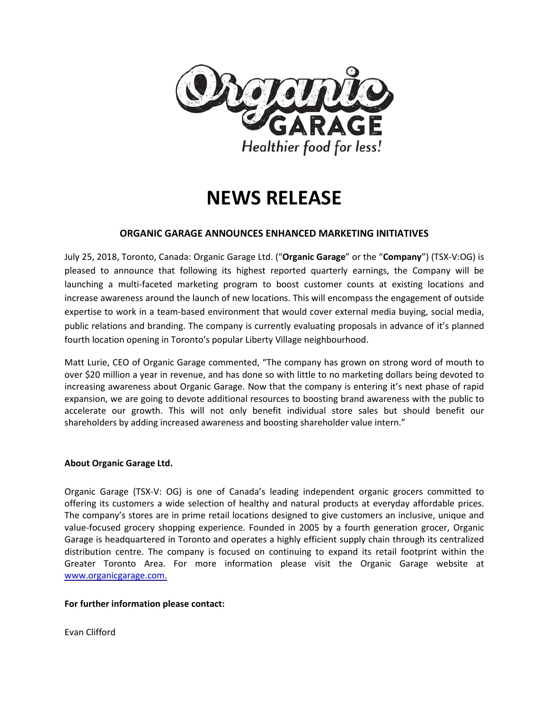

# **NEWS RELEASE**

# **ORGANIC GARAGE ANNOUNCES ENHANCED MARKETING INITIATIVES**

July 25, 2018, Toronto, Canada: Organic Garage Ltd. ("**Organic Garage**" or the "**Company**") (TSX-V:OG) is pleased to announce that following its highest reported quarterly earnings, the Company will be launching a multi-faceted marketing program to boost customer counts at existing locations and increase awareness around the launch of new locations. This will encompass the engagement of outside expertise to work in a team-based environment that would cover external media buying, social media, public relations and branding. The company is currently evaluating proposals in advance of it's planned fourth location opening in Toronto's popular Liberty Village neighbourhood.

Matt Lurie, CEO of Organic Garage commented, "The company has grown on strong word of mouth to over \$20 million a year in revenue, and has done so with little to no marketing dollars being devoted to increasing awareness about Organic Garage. Now that the company is entering it's next phase of rapid expansion, we are going to devote additional resources to boosting brand awareness with the public to accelerate our growth. This will not only benefit individual store sales but should benefit our shareholders by adding increased awareness and boosting shareholder value intern."

## **About Organic Garage Ltd.**

Organic Garage (TSX-V: OG) is one of Canada's leading independent organic grocers committed to offering its customers a wide selection of healthy and natural products at everyday affordable prices. The company's stores are in prime retail locations designed to give customers an inclusive, unique and value-focused grocery shopping experience. Founded in 2005 by a fourth generation grocer, Organic Garage is headquartered in Toronto and operates a highly efficient supply chain through its centralized distribution centre. The company is focused on continuing to expand its retail footprint within the Greater Toronto Area. For more information please visit the Organic Garage website at [www.organicgarage.com.](http://www.organicgarage.com/)

#### **For further information please contact:**

Evan Clifford